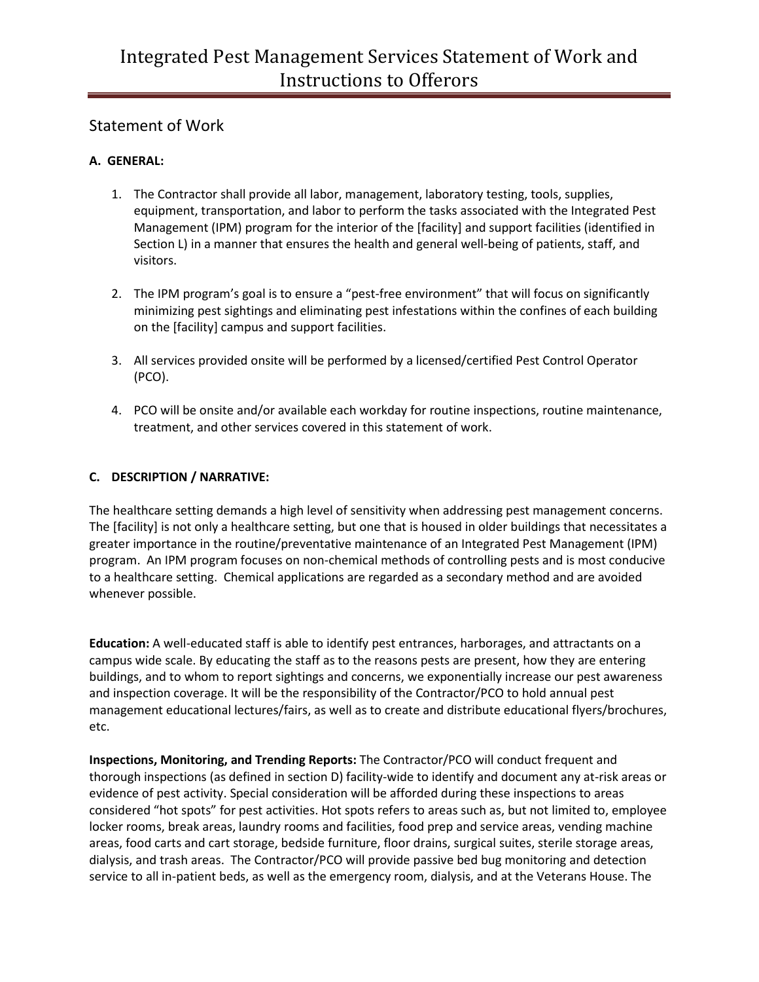# Statement of Work

### **A. GENERAL:**

- 1. The Contractor shall provide all labor, management, laboratory testing, tools, supplies, equipment, transportation, and labor to perform the tasks associated with the Integrated Pest Management (IPM) program for the interior of the [facility] and support facilities (identified in Section L) in a manner that ensures the health and general well-being of patients, staff, and visitors.
- 2. The IPM program's goal is to ensure a "pest-free environment" that will focus on significantly minimizing pest sightings and eliminating pest infestations within the confines of each building on the [facility] campus and support facilities.
- 3. All services provided onsite will be performed by a licensed/certified Pest Control Operator (PCO).
- 4. PCO will be onsite and/or available each workday for routine inspections, routine maintenance, treatment, and other services covered in this statement of work.

### **C. DESCRIPTION / NARRATIVE:**

The healthcare setting demands a high level of sensitivity when addressing pest management concerns. The [facility] is not only a healthcare setting, but one that is housed in older buildings that necessitates a greater importance in the routine/preventative maintenance of an Integrated Pest Management (IPM) program. An IPM program focuses on non-chemical methods of controlling pests and is most conducive to a healthcare setting. Chemical applications are regarded as a secondary method and are avoided whenever possible.

**Education:** A well-educated staff is able to identify pest entrances, harborages, and attractants on a campus wide scale. By educating the staff as to the reasons pests are present, how they are entering buildings, and to whom to report sightings and concerns, we exponentially increase our pest awareness and inspection coverage. It will be the responsibility of the Contractor/PCO to hold annual pest management educational lectures/fairs, as well as to create and distribute educational flyers/brochures, etc.

**Inspections, Monitoring, and Trending Reports:** The Contractor/PCO will conduct frequent and thorough inspections (as defined in section D) facility-wide to identify and document any at-risk areas or evidence of pest activity. Special consideration will be afforded during these inspections to areas considered "hot spots" for pest activities. Hot spots refers to areas such as, but not limited to, employee locker rooms, break areas, laundry rooms and facilities, food prep and service areas, vending machine areas, food carts and cart storage, bedside furniture, floor drains, surgical suites, sterile storage areas, dialysis, and trash areas. The Contractor/PCO will provide passive bed bug monitoring and detection service to all in-patient beds, as well as the emergency room, dialysis, and at the Veterans House. The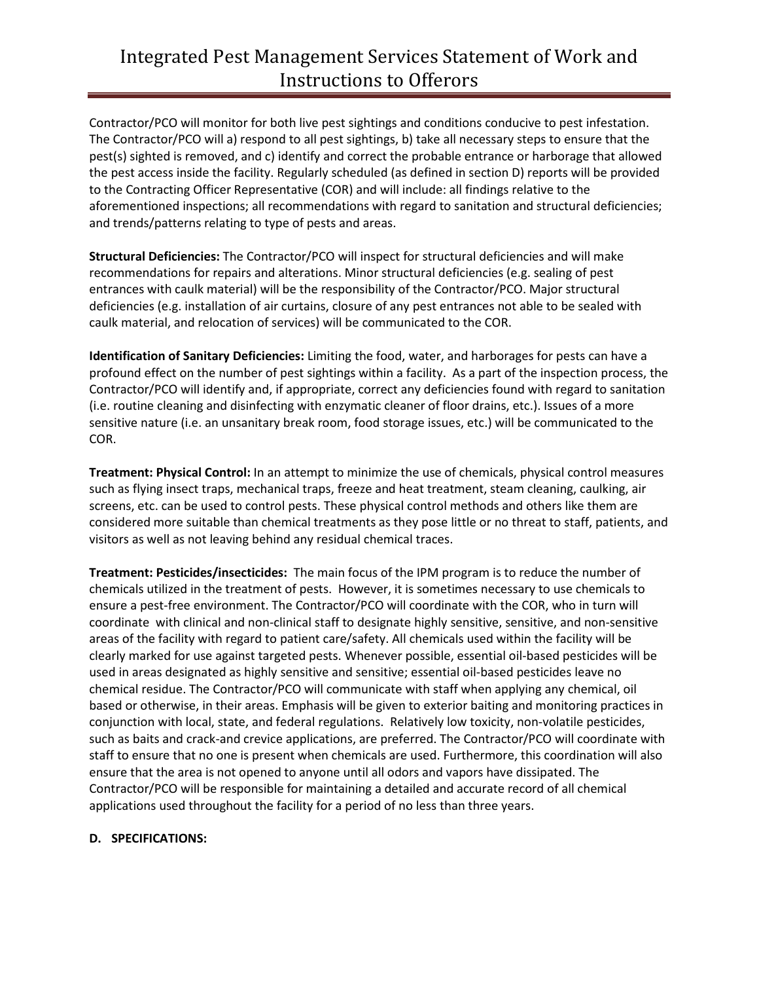# Integrated Pest Management Services Statement of Work and Instructions to Offerors

Contractor/PCO will monitor for both live pest sightings and conditions conducive to pest infestation. The Contractor/PCO will a) respond to all pest sightings, b) take all necessary steps to ensure that the pest(s) sighted is removed, and c) identify and correct the probable entrance or harborage that allowed the pest access inside the facility. Regularly scheduled (as defined in section D) reports will be provided to the Contracting Officer Representative (COR) and will include: all findings relative to the aforementioned inspections; all recommendations with regard to sanitation and structural deficiencies; and trends/patterns relating to type of pests and areas.

**Structural Deficiencies:** The Contractor/PCO will inspect for structural deficiencies and will make recommendations for repairs and alterations. Minor structural deficiencies (e.g. sealing of pest entrances with caulk material) will be the responsibility of the Contractor/PCO. Major structural deficiencies (e.g. installation of air curtains, closure of any pest entrances not able to be sealed with caulk material, and relocation of services) will be communicated to the COR.

**Identification of Sanitary Deficiencies:** Limiting the food, water, and harborages for pests can have a profound effect on the number of pest sightings within a facility. As a part of the inspection process, the Contractor/PCO will identify and, if appropriate, correct any deficiencies found with regard to sanitation (i.e. routine cleaning and disinfecting with enzymatic cleaner of floor drains, etc.). Issues of a more sensitive nature (i.e. an unsanitary break room, food storage issues, etc.) will be communicated to the COR.

**Treatment: Physical Control:** In an attempt to minimize the use of chemicals, physical control measures such as flying insect traps, mechanical traps, freeze and heat treatment, steam cleaning, caulking, air screens, etc. can be used to control pests. These physical control methods and others like them are considered more suitable than chemical treatments as they pose little or no threat to staff, patients, and visitors as well as not leaving behind any residual chemical traces.

**Treatment: Pesticides/insecticides:** The main focus of the IPM program is to reduce the number of chemicals utilized in the treatment of pests. However, it is sometimes necessary to use chemicals to ensure a pest-free environment. The Contractor/PCO will coordinate with the COR, who in turn will coordinate with clinical and non-clinical staff to designate highly sensitive, sensitive, and non-sensitive areas of the facility with regard to patient care/safety. All chemicals used within the facility will be clearly marked for use against targeted pests. Whenever possible, essential oil-based pesticides will be used in areas designated as highly sensitive and sensitive; essential oil-based pesticides leave no chemical residue. The Contractor/PCO will communicate with staff when applying any chemical, oil based or otherwise, in their areas. Emphasis will be given to exterior baiting and monitoring practices in conjunction with local, state, and federal regulations. Relatively low toxicity, non-volatile pesticides, such as baits and crack-and crevice applications, are preferred. The Contractor/PCO will coordinate with staff to ensure that no one is present when chemicals are used. Furthermore, this coordination will also ensure that the area is not opened to anyone until all odors and vapors have dissipated. The Contractor/PCO will be responsible for maintaining a detailed and accurate record of all chemical applications used throughout the facility for a period of no less than three years.

#### **D. SPECIFICATIONS:**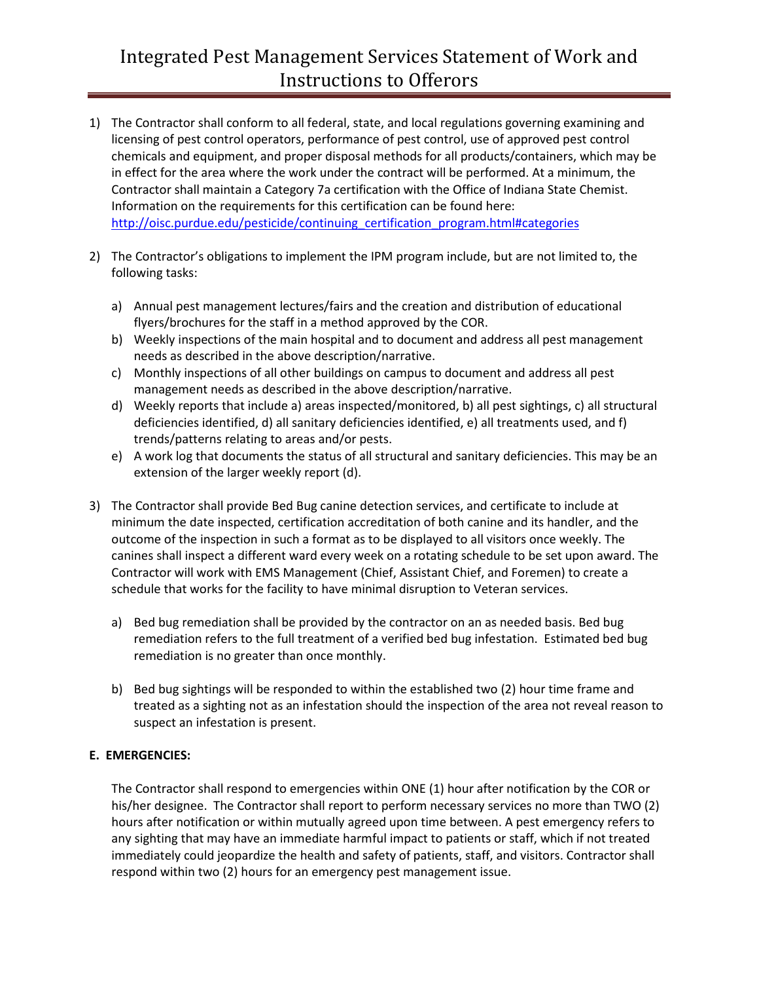# Integrated Pest Management Services Statement of Work and Instructions to Offerors

- 1) The Contractor shall conform to all federal, state, and local regulations governing examining and licensing of pest control operators, performance of pest control, use of approved pest control chemicals and equipment, and proper disposal methods for all products/containers, which may be in effect for the area where the work under the contract will be performed. At a minimum, the Contractor shall maintain a Category 7a certification with the Office of Indiana State Chemist. Information on the requirements for this certification can be found here: [http://oisc.purdue.edu/pesticide/continuing\\_certification\\_program.html#categories](http://oisc.purdue.edu/pesticide/continuing_certification_program.html#categories)
- 2) The Contractor's obligations to implement the IPM program include, but are not limited to, the following tasks:
	- a) Annual pest management lectures/fairs and the creation and distribution of educational flyers/brochures for the staff in a method approved by the COR.
	- b) Weekly inspections of the main hospital and to document and address all pest management needs as described in the above description/narrative.
	- c) Monthly inspections of all other buildings on campus to document and address all pest management needs as described in the above description/narrative.
	- d) Weekly reports that include a) areas inspected/monitored, b) all pest sightings, c) all structural deficiencies identified, d) all sanitary deficiencies identified, e) all treatments used, and f) trends/patterns relating to areas and/or pests.
	- e) A work log that documents the status of all structural and sanitary deficiencies. This may be an extension of the larger weekly report (d).
- 3) The Contractor shall provide Bed Bug canine detection services, and certificate to include at minimum the date inspected, certification accreditation of both canine and its handler, and the outcome of the inspection in such a format as to be displayed to all visitors once weekly. The canines shall inspect a different ward every week on a rotating schedule to be set upon award. The Contractor will work with EMS Management (Chief, Assistant Chief, and Foremen) to create a schedule that works for the facility to have minimal disruption to Veteran services.
	- a) Bed bug remediation shall be provided by the contractor on an as needed basis. Bed bug remediation refers to the full treatment of a verified bed bug infestation. Estimated bed bug remediation is no greater than once monthly.
	- b) Bed bug sightings will be responded to within the established two (2) hour time frame and treated as a sighting not as an infestation should the inspection of the area not reveal reason to suspect an infestation is present.

#### **E. EMERGENCIES:**

The Contractor shall respond to emergencies within ONE (1) hour after notification by the COR or his/her designee. The Contractor shall report to perform necessary services no more than TWO (2) hours after notification or within mutually agreed upon time between. A pest emergency refers to any sighting that may have an immediate harmful impact to patients or staff, which if not treated immediately could jeopardize the health and safety of patients, staff, and visitors. Contractor shall respond within two (2) hours for an emergency pest management issue.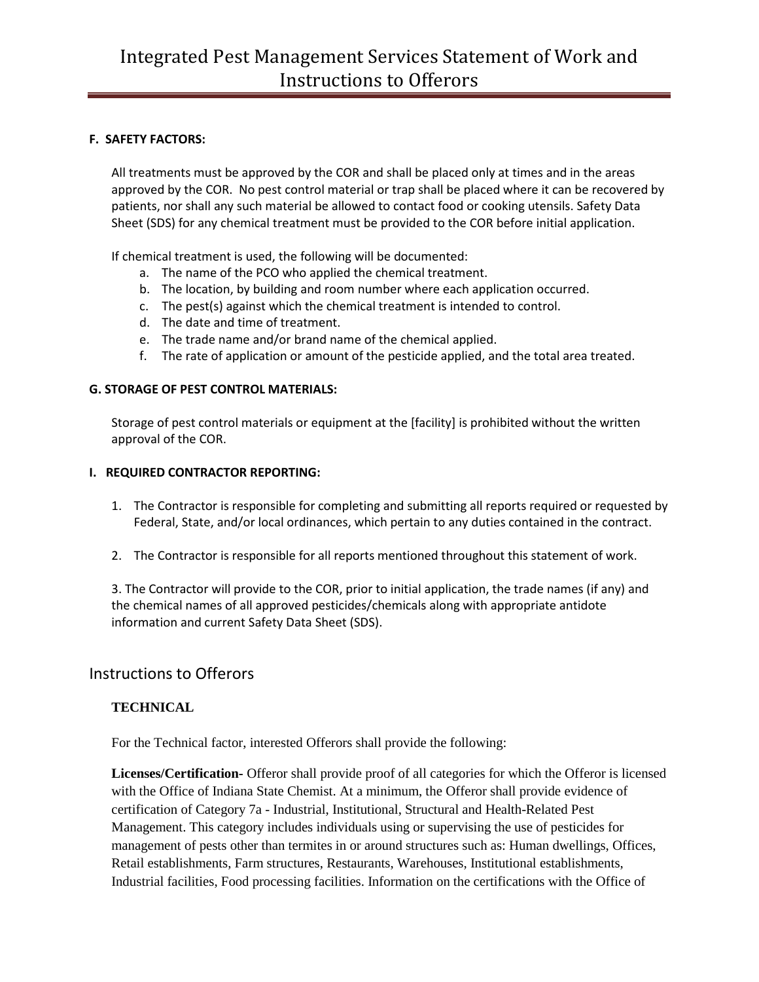#### **F. SAFETY FACTORS:**

All treatments must be approved by the COR and shall be placed only at times and in the areas approved by the COR. No pest control material or trap shall be placed where it can be recovered by patients, nor shall any such material be allowed to contact food or cooking utensils. Safety Data Sheet (SDS) for any chemical treatment must be provided to the COR before initial application.

If chemical treatment is used, the following will be documented:

- a. The name of the PCO who applied the chemical treatment.
- b. The location, by building and room number where each application occurred.
- c. The pest(s) against which the chemical treatment is intended to control.
- d. The date and time of treatment.
- e. The trade name and/or brand name of the chemical applied.
- f. The rate of application or amount of the pesticide applied, and the total area treated.

#### **G. STORAGE OF PEST CONTROL MATERIALS:**

Storage of pest control materials or equipment at the [facility] is prohibited without the written approval of the COR.

#### **I. REQUIRED CONTRACTOR REPORTING:**

- 1. The Contractor is responsible for completing and submitting all reports required or requested by Federal, State, and/or local ordinances, which pertain to any duties contained in the contract.
- 2. The Contractor is responsible for all reports mentioned throughout this statement of work.

3. The Contractor will provide to the COR, prior to initial application, the trade names (if any) and the chemical names of all approved pesticides/chemicals along with appropriate antidote information and current Safety Data Sheet (SDS).

## Instructions to Offerors

### **TECHNICAL**

For the Technical factor, interested Offerors shall provide the following:

**Licenses/Certification-** Offeror shall provide proof of all categories for which the Offeror is licensed with the Office of Indiana State Chemist. At a minimum, the Offeror shall provide evidence of certification of Category 7a - Industrial, Institutional, Structural and Health-Related Pest Management. This category includes individuals using or supervising the use of pesticides for management of pests other than termites in or around structures such as: Human dwellings, Offices, Retail establishments, Farm structures, Restaurants, Warehouses, Institutional establishments, Industrial facilities, Food processing facilities. Information on the certifications with the Office of